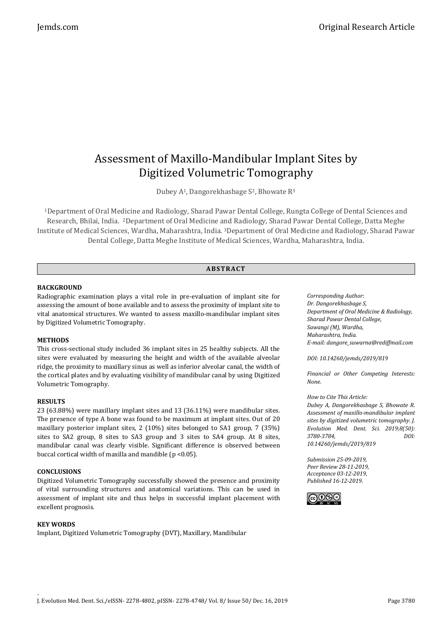# Assessment of Maxillo-Mandibular Implant Sites by Digitized Volumetric Tomography

Dubey A<sup>1</sup>, Dangorekhasbage S<sup>2</sup>, Bhowate R<sup>3</sup>

<sup>1</sup>Department of Oral Medicine and Radiology, Sharad Pawar Dental College, Rungta College of Dental Sciences and Research, Bhilai, India. 2Department of Oral Medicine and Radiology, Sharad Pawar Dental College, Datta Meghe Institute of Medical Sciences, Wardha, Maharashtra, India. <sup>3</sup>Department of Oral Medicine and Radiology, Sharad Pawar Dental College, Datta Meghe Institute of Medical Sciences, Wardha, Maharashtra, India.

# **ABS TR ACT**

# **BACKGROUND**

Radiographic examination plays a vital role in pre-evaluation of implant site for assessing the amount of bone available and to assess the proximity of implant site to vital anatomical structures. We wanted to assess maxillo-mandibular implant sites by Digitized Volumetric Tomography.

# **METHODS**

This cross-sectional study included 36 implant sites in 25 healthy subjects. All the sites were evaluated by measuring the height and width of the available alveolar ridge, the proximity to maxillary sinus as well as inferior alveolar canal, the width of the cortical plates and by evaluating visibility of mandibular canal by using Digitized Volumetric Tomography.

# **RESULTS**

23 (63.88%) were maxillary implant sites and 13 (36.11%) were mandibular sites. The presence of type A bone was found to be maximum at implant sites. Out of 20 maxillary posterior implant sites, 2 (10%) sites belonged to SA1 group, 7 (35%) sites to SA2 group, 8 sites to SA3 group and 3 sites to SA4 group. At 8 sites, mandibular canal was clearly visible. Significant difference is observed between buccal cortical width of maxilla and mandible (p <0.05).

# **CONCLUSIONS**

Digitized Volumetric Tomography successfully showed the presence and proximity of vital surrounding structures and anatomical variations. This can be used in assessment of implant site and thus helps in successful implant placement with excellent prognosis.

# **KEY WORDS**

Implant, Digitized Volumetric Tomography (DVT), Maxillary, Mandibular

*Corresponding Author: Dr. Dangorekhasbage S, Department of Oral Medicine & Radiology, Sharad Pawar Dental College, Sawangi (M), Wardha, Maharashtra, India. E-mail: dangore\_suwarna@rediffmail.com*

*DOI: 10.14260/jemds/2019/819*

*Financial or Other Competing Interests: None.*

# *How to Cite This Article:*

*Dubey A, Dangorekhasbage S, Bhowate R. Assessment of maxillo-mandibular implant sites by digitized volumetric tomography. J. Evolution Med. Dent. Sci. 2019;8(50): 3780-3784, DOI: 10.14260/jemds/2019/819*

*Submission 25-09-2019, Peer Review 28-11-2019, Acceptance 03-12-2019, Published 16-12-2019.*

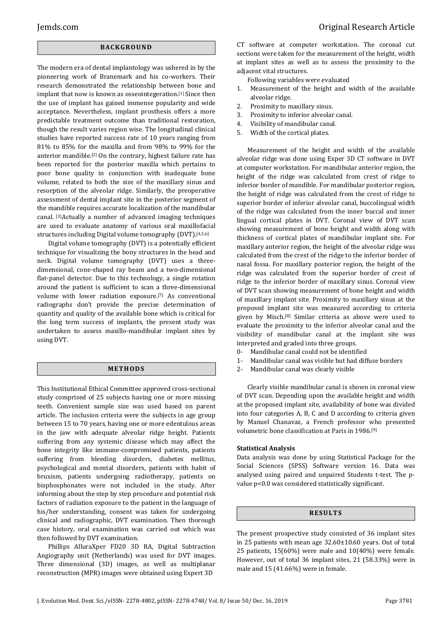# **BACK GR O U ND**

The modern era of dental implantology was ushered in by the pioneering work of Branemark and his co-workers. Their research demonstrated the relationship between bone and implant that now is known as osseointegeration.<sup>[1]</sup> Since then the use of implant has gained immense popularity and wide acceptance. Nevertheless, implant prosthesis offers a more predictable treatment outcome than traditional restoration, though the result varies region wise. The longitudinal clinical studies have reported success rate of 10 years ranging from 81% to 85% for the maxilla and from 98% to 99% for the anterior mandible.[2] On the contrary, highest failure rate has been reported for the posterior maxilla which pertains to poor bone quality in conjunction with inadequate bone volume, related to both the size of the maxillary sinus and resorption of the alveolar ridge. Similarly, the preoperative assessment of dental implant site in the posterior segment of the mandible requires accurate localization of the mandibular canal. [3]Actually a number of advanced imaging techniques are used to evaluate anatomy of various oral maxillofacial structures including Digital volume tomography (DVT).[4,5,6]

Digital volume tomography (DVT) is a potentially efficient technique for visualizing the bony structures in the head and neck. Digital volume tomography (DVT) uses a threedimensional, cone-shaped ray beam and a two-dimensional flat-panel detector. Due to this technology, a single rotation around the patient is sufficient to scan a three-dimensional volume with lower radiation exposure.[7] As conventional radiographs don't provide the precise determination of quantity and quality of the available bone which is critical for the long term success of implants, the present study was undertaken to assess maxillo-mandibular implant sites by using DVT.

# **ME TH OD S**

This Institutional Ethical Committee approved cross-sectional study comprised of 25 subjects having one or more missing teeth. Convenient sample size was used based on parent article. The inclusion criteria were the subjects in age group between 15 to 70 years, having one or more edentulous areas in the jaw with adequate alveolar ridge height. Patients suffering from any systemic disease which may affect the bone integrity like immune-compromised patients, patients suffering from bleeding disorders, diabetes mellitus, psychological and mental disorders, patients with habit of bruxism, patients undergoing radiotherapy, patients on bisphosphonates were not included in the study. After informing about the step by step procedure and potential risk factors of radiation exposure to the patient in the language of his/her understanding, consent was taken for undergoing clinical and radiographic, DVT examination. Then thorough case history, oral examination was carried out which was then followed by DVT examination.

Phillips AlluraXper FD20 3D RA, Digital Subtraction Angiography unit (Netherlands) was used for DVT images. Three dimensional (3D) images, as well as multiplanar reconstruction (MPR) images were obtained using Expert 3D

CT software at computer workstation. The coronal cut sections were taken for the measurement of the height, width at implant sites as well as to assess the proximity to the adjacent vital structures.

Following variables were evaluated

- 1. Measurement of the height and width of the available alveolar ridge.
- 2. Proximity to maxillary sinus.
- 3. Proximity to inferior alveolar canal.
- 4. Visibility of mandibular canal.
- 5. Width of the cortical plates.

Measurement of the height and width of the available alveolar ridge was done using Exper 3D CT software in DVT at computer workstation. For mandibular anterior region, the height of the ridge was calculated from crest of ridge to inferior border of mandible. For mandibular posterior region, the height of ridge was calculated from the crest of ridge to superior border of inferior alveolar canal, buccolingual width of the ridge was calculated from the inner buccal and inner lingual cortical plates in DVT. Coronal view of DVT scan showing measurement of bone height and width along with thickness of cortical plates of mandibular implant site. For maxillary anterior region, the height of the alveolar ridge was calculated from the crest of the ridge to the inferior border of nasal fossa. For maxillary posterior region, the height of the ridge was calculated from the superior border of crest of ridge to the inferior border of maxillary sinus. Coronal view of DVT scan showing measurement of bone height and width of maxillary implant site. Proximity to maxillary sinus at the proposed implant site was measured according to criteria given by Misch.[8] Similar criteria as above were used to evaluate the proximity to the inferior alveolar canal and the visibility of mandibular canal at the implant site was interpreted and graded into three groups.

- 0- Mandibular canal could not be identified
- 1- Mandibular canal was visible but had diffuse borders
- 2- Mandibular canal was clearly visible

Clearly visible mandibular canal is shown in coronal view of DVT scan. Depending upon the available height and width at the proposed implant site, availability of bone was divided into four categories A, B, C and D according to criteria given by Manuel Chanavaz, a French professor who presented volumetric bone classification at Paris in 1986.[9]

#### **Statistical Analysis**

Data analysis was done by using Statistical Package for the Social Sciences (SPSS) Software version 16. Data was analysed using paired and unpaired Students t-test. The pvalue p<0.0 was considered statistically significant.

#### **R ES U LT S**

The present prospective study consisted of 36 implant sites in 25 patients with mean age 32.60±10.60 years. Out of total 25 patients, 15(60%) were male and 10(40%) were female. However, out of total 36 implant sites, 21 (58.33%) were in male and 15 (41.66%) were in female.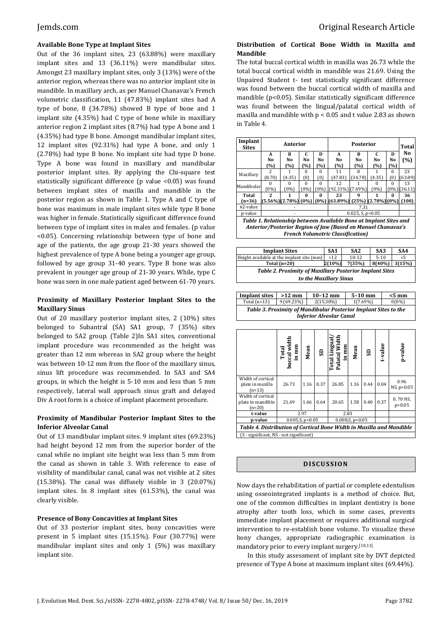# **Available Bone Type at Implant Sites**

Out of the 36 implant sites, 23 (63.88%) were maxillary implant sites and 13 (36.11%) were mandibular sites. Amongst 23 maxillary implant sites, only 3 (13%) were of the anterior region, whereas there was no anterior implant site in mandible. In maxillary arch, as per Manuel Chanavaz's French volumetric classification, 11 (47.83%) implant sites had A type of bone, 8 (34.78%) showed B type of bone and 1 implant site (4.35%) had C type of bone while in maxillary anterior region 2 implant sites (8.7%) had type A bone and 1 (4.35%) had type B bone. Amongst mandibular implant sites, 12 implant sites (92.31%) had type A bone, and only 1 (2.78%) had type B bone. No implant site had type D bone. Type A bone was found in maxillary and mandibular posterior implant sites. By applying the Chi-square test statistically significant difference (p value <0.05) was found between implant sites of maxilla and mandible in the posterior region as shown in Table 1. Type A and C type of bone was maximum in male implant sites while type B bone was higher in female. Statistically significant difference found between type of implant sites in males and females. (p value <0.05). Concerning relationship between type of bone and age of the patients, the age group 21-30 years showed the highest prevalence of type A bone being a younger age group, followed by age group 31-40 years. Type B bone was also prevalent in younger age group of 21-30 years. While, type C bone was seen in one male patient aged between 61-70 years.

# **Proximity of Maxillary Posterior Implant Sites to the Maxillary Sinus**

Out of 20 maxillary posterior implant sites, 2 (10%) sites belonged to Subantral (SA) SA1 group, 7 (35%) sites belonged to SA2 group. (Table 2)In SA1 sites, conventional implant procedure was recommended as the height was greater than 12 mm whereas in SA2 group where the height was between 10-12 mm from the floor of the maxillary sinus, sinus lift procedure was recommended. In SA3 and SA4 groups, in which the height is 5-10 mm and less than 5 mm respectively, lateral wall approach sinus graft and delayed Div A root form is a choice of implant placement procedure.

# **Proximity of Mandibular Posterior Implant Sites to the Inferior Alveolar Canal**

Out of 13 mandibular implant sites. 9 implant sites (69.23%) had height beyond 12 mm from the superior border of the canal while no implant site height was less than 5 mm from the canal as shown in table 3. With reference to ease of visibility of mandibular canal, canal was not visible at 2 sites  $(15.38\%)$ . The canal was diffusely visible in 3  $(20.07\%)$ implant sites. In 8 implant sites (61.53%), the canal was clearly visible.

# **Presence of Bony Concavities at Implant Sites**

Out of 33 posterior implant sites, bony concavities were present in 5 implant sites (15.15%). Four (30.77%) were mandibular implant sites and only 1 (5%) was maxillary implant site.

# **Distribution of Cortical Bone Width in Maxilla and Mandible**

The total buccal cortical width in maxilla was 26.73 while the total buccal cortical width in mandible was 21.69. Using the Unpaired Student t- test statistically significant difference was found between the buccal cortical width of maxilla and mandible (p<0.05). Similar statistically significant difference was found between the lingual/palatal cortical width of maxilla and mandible with p < 0.05 and t value 2.83 as shown in Table 4.

| Implant<br><b>Sites</b>                                                                                                                                                       | Anterior       |                    |          |          |                                                 | <b>Total</b> |        |          |                 |
|-------------------------------------------------------------------------------------------------------------------------------------------------------------------------------|----------------|--------------------|----------|----------|-------------------------------------------------|--------------|--------|----------|-----------------|
|                                                                                                                                                                               | A              | R                  | C        | D        | A                                               | R            | C      | D        | No              |
|                                                                                                                                                                               | No             | No                 | No       | No       | No                                              | No           | No     | No       | (%)             |
|                                                                                                                                                                               | (%)            | (%)                | (%)      | (%)      | (%)                                             | (%)          | (%)    | (%)      |                 |
| Maxillary                                                                                                                                                                     | $\mathfrak{D}$ | 1                  | 0        | $\Omega$ | 11                                              | 8            |        | 0        | 23              |
|                                                                                                                                                                               | (8.70)         | (4.35)             | [0]      | (0)      | 47.831                                          | (34.78)      | (4.35) | (0)      | (63.89)         |
| Mandibular                                                                                                                                                                    | 0              | $\Omega$           | $\Omega$ | $\Omega$ | 12                                              |              | 0      | $\Omega$ | 13              |
|                                                                                                                                                                               | (0%)           | (0%)               | (0%      | (0%)     | $(92.31\%)$ (7.69%)                             |              | (0%)   |          | $(0\%)$ (36.11) |
| Total                                                                                                                                                                         | 2              |                    | 0        | 0        | 23                                              | q            | 1      | 0        | 36              |
| $(n=36)$                                                                                                                                                                      |                | (5.56%)(2.78%)(0%) |          |          | $(0\%)$ $(63.89\%)$ $(25\%)$ $(2.78\%)$ $(0\%)$ |              |        |          | <b>100)</b>     |
| x2-value                                                                                                                                                                      |                |                    |          |          |                                                 |              |        |          |                 |
| p-value                                                                                                                                                                       |                |                    |          |          | $0.025$ , S, p< $0.05$                          |              |        |          |                 |
| Table 1. Relationship between Available Bone at Implant Sites and<br>Anterior/Posterior Region of Jaw (Based on Manuel Chanavaz's<br><b>French Volumetric Classification)</b> |                |                    |          |          |                                                 |              |        |          |                 |

| <b>Implant Sites</b>                                           | SA <sub>1</sub> | SA <sub>2</sub> | SA <sub>3</sub>  | SA4   |  |  |  |
|----------------------------------------------------------------|-----------------|-----------------|------------------|-------|--|--|--|
| Height available at the implant site (mm)                      | >12             | $10 - 12$       | $5-10$           | $<$ 5 |  |  |  |
| Total $(n=20)$                                                 | $2(10\%)$       | 7(35%)          | $8(40\%)$ 3(15%) |       |  |  |  |
| <b>Table 2. Proximity of Maxillary Posterior Implant Sites</b> |                 |                 |                  |       |  |  |  |
| to the Maxillary Sinus                                         |                 |                 |                  |       |  |  |  |

| <b>Implant sites</b><br>$>12$ mm                                                                  |            | $10-12$ mm | $5-10$ mm | $< 5 \text{ mm}$ |  |  |  |  |
|---------------------------------------------------------------------------------------------------|------------|------------|-----------|------------------|--|--|--|--|
| Total $(n=13)$                                                                                    | 9 (69.23%) | 2(15.38%)  | 1(7.69%)  | $0(0\%)$         |  |  |  |  |
| Table 3. Proximity of Mandibular Posterior Implant Sites to the<br><b>Inferior Alveolar Canal</b> |            |            |           |                  |  |  |  |  |

|                                                                      | Total<br>buccal width<br>in mm | Mean | G    | Total Lingual/<br>Palatal Width<br>in mm | Mean | SD   | t-value                      | p-value              |
|----------------------------------------------------------------------|--------------------------------|------|------|------------------------------------------|------|------|------------------------------|----------------------|
| Width of cortical<br>plate in maxilla<br>$(n=13)$                    | 26.73                          | 1.16 | 0.37 | 26.85                                    | 1.16 | 0.44 | 0.04                         | 0.96<br>NS, p > 0.05 |
| Width of cortical<br>plate in mandible<br>$(n=20)$                   | 21.69                          | 1.66 | 0.64 | 20.65                                    | 1.58 | 0.40 | 0.70 NS,<br>0.37<br>p > 0.05 |                      |
| t-value                                                              | 2.97                           |      | 2.83 |                                          |      |      |                              |                      |
| p-value                                                              | $0.005$ , S, p < $0.05$        |      |      | $0.008$ , S, p < $0.05$                  |      |      |                              |                      |
| Table 4. Distribution of Cortical Bone Width in Maxilla and Mandible |                                |      |      |                                          |      |      |                              |                      |
| (S - significant, NS - not significant)                              |                                |      |      |                                          |      |      |                              |                      |

### **DI SCU S SI ON**

Now days the rehabilitation of partial or complete edentulism using osseointegrated implants is a method of choice. But, one of the common difficulties in implant dentistry is bone atrophy after tooth loss, which in some cases, prevents immediate implant placement or requires additional surgical intervention to re-establish bone volume. To visualize these bony changes, appropriate radiographic examination is mandatory prior to every implant surgery.[10,11]

In this study assessment of implant site by DVT depicted presence of Type A bone at maximum implant sites (69.44%).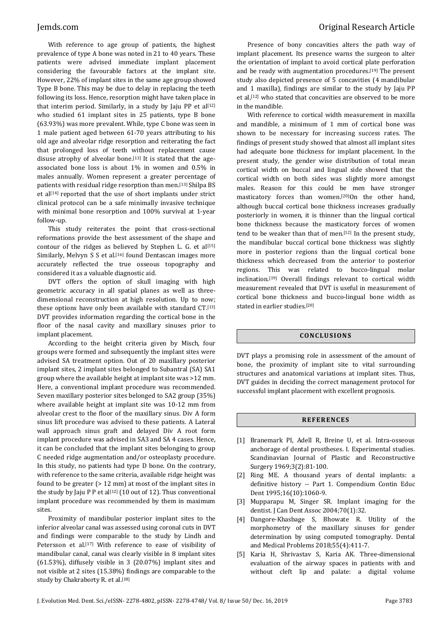With reference to age group of patients, the highest prevalence of type A bone was noted in 21 to 40 years. These patients were advised immediate implant placement considering the favourable factors at the implant site. However, 22% of implant sites in the same age group showed Type B bone. This may be due to delay in replacing the teeth following its loss. Hence, resorption might have taken place in that interim period. Similarly, in a study by Jaju PP et al $[12]$ who studied 61 implant sites in 25 patients, type B bone (63.93%) was more prevalent. While, type C bone was seen in 1 male patient aged between 61-70 years attributing to his old age and alveolar ridge resorption and reiterating the fact that prolonged loss of teeth without replacement cause disuse atrophy of alveolar bone.<sup>[13]</sup> It is stated that the ageassociated bone loss is about 1% in women and 0.5% in males annually. Women represent a greater percentage of patients with residual ridge resorption than men.[13] Shilpa BS et al<sup>[14]</sup> reported that the use of short implants under strict clinical protocol can be a safe minimally invasive technique with minimal bone resorption and 100% survival at 1-year follow-up.

This study reiterates the point that cross-sectional reformations provide the best assessment of the shape and contour of the ridges as believed by Stephen L. G. et al $[15]$ Similarly, Melvyn S S et al.<sup>[16]</sup> found Dentascan images more accurately reflected the true osseous topography and considered it as a valuable diagnostic aid.

DVT offers the option of skull imaging with high geometric accuracy in all spatial planes as well as threedimensional reconstruction at high resolution. Up to now; these options have only been available with standard CT.[13] DVT provides information regarding the cortical bone in the floor of the nasal cavity and maxillary sinuses prior to implant placement.

According to the height criteria given by Misch, four groups were formed and subsequently the implant sites were advised SA treatment option. Out of 20 maxillary posterior implant sites, 2 implant sites belonged to Subantral (SA) SA1 group where the available height at implant site was >12 mm. Here, a conventional implant procedure was recommended. Seven maxillary posterior sites belonged to SA2 group (35%) where available height at implant site was 10-12 mm from alveolar crest to the floor of the maxillary sinus. Div A form sinus lift procedure was advised to these patients. A Lateral wall approach sinus graft and delayed Div A root form implant procedure was advised in SA3 and SA 4 cases. Hence, it can be concluded that the implant sites belonging to group C needed ridge augmentation and/or osteoplasty procedure. In this study, no patients had type D bone. On the contrary, with reference to the same criteria, available ridge height was found to be greater (> 12 mm) at most of the implant sites in the study by Jaju P P et al<sup>[12]</sup> (10 out of 12). Thus conventional implant procedure was recommended by them in maximum sites.

Proximity of mandibular posterior implant sites to the inferior alveolar canal was assessed using coronal cuts in DVT and findings were comparable to the study by Lindh and Petersson et al.<sup>[17]</sup> With reference to ease of visibility of mandibular canal, canal was clearly visible in 8 implant sites (61.53%), diffusely visible in 3 (20.07%) implant sites and not visible at 2 sites (15.38%) findings are comparable to the study by Chakraborty R. et al.<sup>[18]</sup>

Presence of bony concavities alters the path way of implant placement. Its presence warns the surgeon to alter the orientation of implant to avoid cortical plate perforation and be ready with augmentation procedures.[19] The present study also depicted presence of 5 concavities (4 mandibular and 1 maxilla), findings are similar to the study by Jaju PP et al,[12] who stated that concavities are observed to be more in the mandible.

With reference to cortical width measurement in maxilla and mandible, a minimum of 1 mm of cortical bone was shown to be necessary for increasing success rates. The findings of present study showed that almost all implant sites had adequate bone thickness for implant placement. In the present study, the gender wise distribution of total mean cortical width on buccal and lingual side showed that the cortical width on both sides was slightly more amongst males. Reason for this could be men have stronger masticatory forces than women.[20]On the other hand, although buccal cortical bone thickness increases gradually posteriorly in women, it is thinner than the lingual cortical bone thickness because the masticatory forces of women tend to be weaker than that of men.[12] In the present study, the mandibular buccal cortical bone thickness was slightly more in posterior regions than the lingual cortical bone thickness which decreased from the anterior to posterior regions. This was related to bucco-lingual molar inclination.[19] Overall findings relevant to cortical width measurement revealed that DVT is useful in measurement of cortical bone thickness and bucco-lingual bone width as stated in earlier studies.[20]

#### **CONC LU S ION S**

DVT plays a promising role in assessment of the amount of bone, the proximity of implant site to vital surrounding structures and anatomical variations at implant sites. Thus, DVT guides in deciding the correct management protocol for successful implant placement with excellent prognosis.

# **R EF ER ENC E S**

- [1] Branemark PI, Adell R, Breine U, et al. Intra-osseous anchorage of dental prostheses. I. Experimental studies. Scandinavian Journal of Plastic and Reconstructive Surgery 1969;3(2):81-100.
- [2] Ring ME. A thousand years of dental implants: a definitive history -- Part 1. Compendium Contin Educ Dent 1995;16(10):1060-9.
- [3] Mupparapu M, Singer SR. Implant imaging for the dentist. J Can Dent Assoc 2004;70(1):32.
- [4] Dangore-Khasbage S, Bhowate R. Utility of the morphometry of the maxillary sinuses for gender determination by using computed tomography. Dental and Medical Problems 2018;55(4):411-7.
- [5] Karia H, Shrivastav S, Karia AK. Three-dimensional evaluation of the airway spaces in patients with and without cleft lip and palate: a digital volume